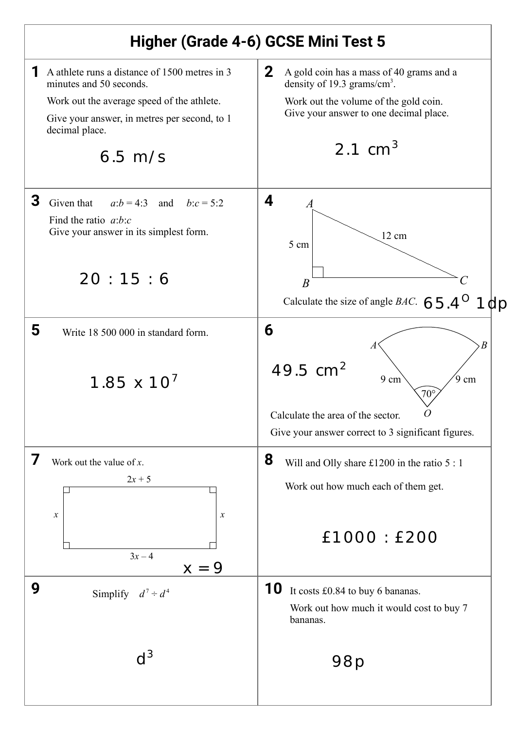## **Higher (Grade 4-6) GCSE Mini Test 5**